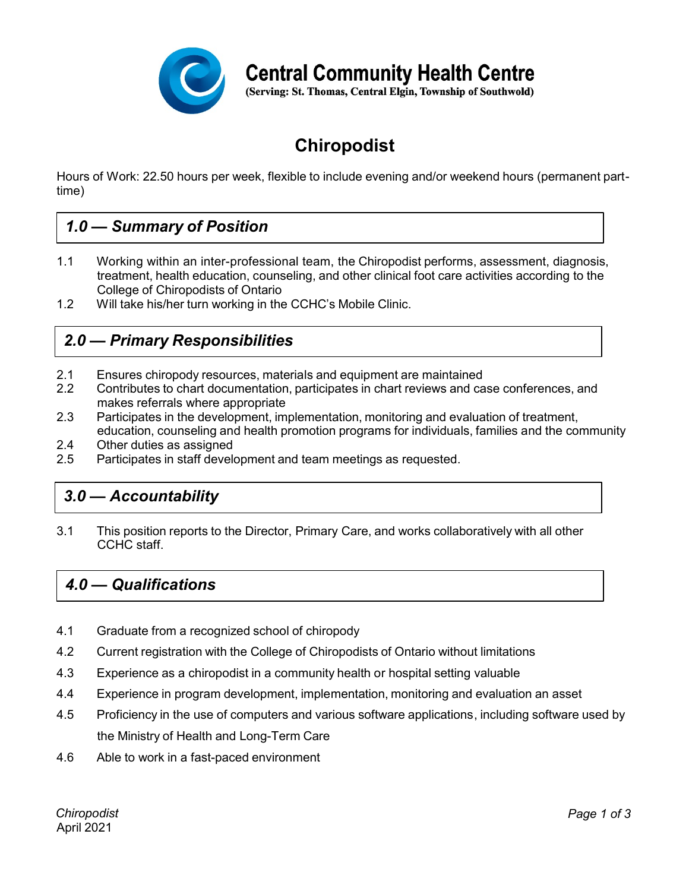

**Central Community Health Centre** 

(Serving: St. Thomas, Central Elgin, Township of Southwold)

# **Chiropodist**

Hours of Work: 22.50 hours per week, flexible to include evening and/or weekend hours (permanent parttime)

# *1.0 — Summary of Position*

- 1.1 Working within an inter-professional team, the Chiropodist performs, assessment, diagnosis, treatment, health education, counseling, and other clinical foot care activities according to the College of Chiropodists of Ontario
- 1.2 Will take his/her turn working in the CCHC's Mobile Clinic.

## *2.0 — Primary Responsibilities*

- 2.1 Ensures chiropody resources, materials and equipment are maintained
- 2.2 Contributes to chart documentation, participates in chart reviews and case conferences, and makes referrals where appropriate
- 2.3 Participates in the development, implementation, monitoring and evaluation of treatment, education, counseling and health promotion programs for individuals, families and the community
- 2.4 Other duties as assigned
- 2.5 Participates in staff development and team meetings as requested.

### *3.0 — Accountability*

3.1 This position reports to the Director, Primary Care, and works collaboratively with all other CCHC staff.

### *4.0 — Qualifications*

- 4.1 Graduate from a recognized school of chiropody
- 4.2 Current registration with the College of Chiropodists of Ontario without limitations
- 4.3 Experience as a chiropodist in a community health or hospital setting valuable
- 4.4 Experience in program development, implementation, monitoring and evaluation an asset
- 4.5 Proficiency in the use of computers and various software applications, including software used by the Ministry of Health and Long-Term Care
- 4.6 Able to work in a fast-paced environment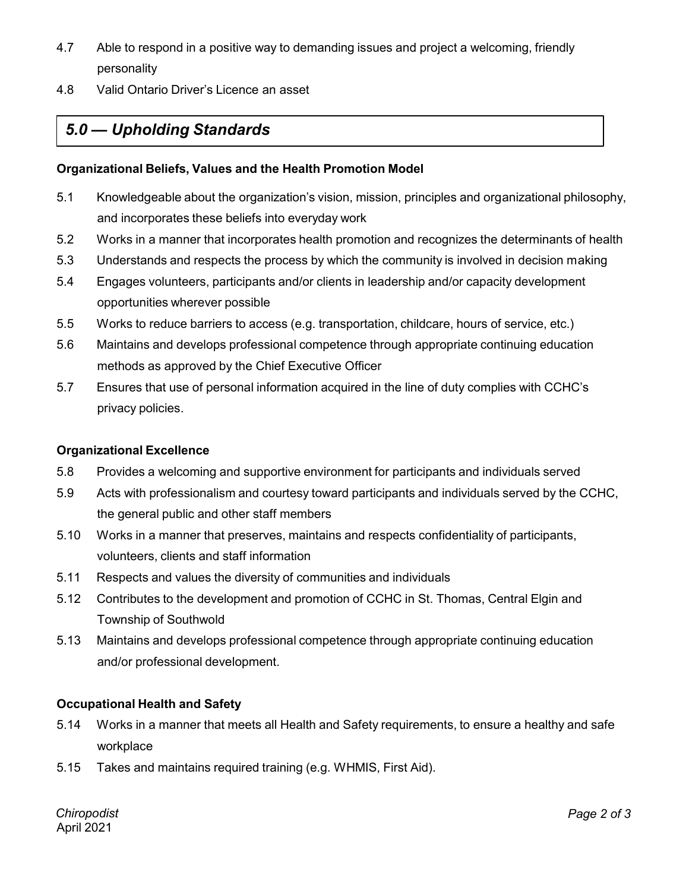- 4.7 Able to respond in a positive way to demanding issues and project a welcoming, friendly personality
- 4.8 Valid Ontario Driver's Licence an asset

# *5.0 — Upholding Standards*

#### **Organizational Beliefs, Values and the Health Promotion Model**

- 5.1 Knowledgeable about the organization's vision, mission, principles and organizational philosophy, and incorporates these beliefs into everyday work
- 5.2 Works in a manner that incorporates health promotion and recognizes the determinants of health
- 5.3 Understands and respects the process by which the community is involved in decision making
- 5.4 Engages volunteers, participants and/or clients in leadership and/or capacity development opportunities wherever possible
- 5.5 Works to reduce barriers to access (e.g. transportation, childcare, hours of service, etc.)
- 5.6 Maintains and develops professional competence through appropriate continuing education methods as approved by the Chief Executive Officer
- 5.7 Ensures that use of personal information acquired in the line of duty complies with CCHC's privacy policies.

### **Organizational Excellence**

- 5.8 Provides a welcoming and supportive environment for participants and individuals served
- 5.9 Acts with professionalism and courtesy toward participants and individuals served by the CCHC, the general public and other staff members
- 5.10 Works in a manner that preserves, maintains and respects confidentiality of participants, volunteers, clients and staff information
- 5.11 Respects and values the diversity of communities and individuals
- 5.12 Contributes to the development and promotion of CCHC in St. Thomas, Central Elgin and Township of Southwold
- 5.13 Maintains and develops professional competence through appropriate continuing education and/or professional development.

### **Occupational Health and Safety**

- 5.14 Works in a manner that meets all Health and Safety requirements, to ensure a healthy and safe workplace
- 5.15 Takes and maintains required training (e.g. WHMIS, First Aid).